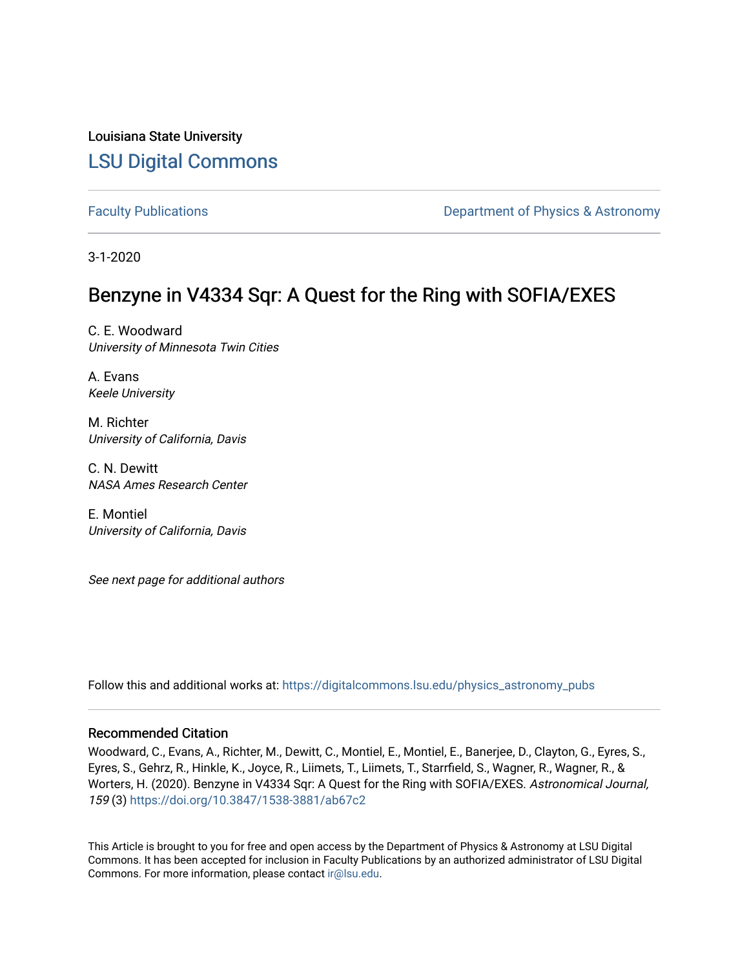Louisiana State University [LSU Digital Commons](https://digitalcommons.lsu.edu/)

[Faculty Publications](https://digitalcommons.lsu.edu/physics_astronomy_pubs) **Exercise 2 and Table 2 and Table 2 and Table 2 and Table 2 and Table 2 and Table 2 and Table 2 and Table 2 and Table 2 and Table 2 and Table 2 and Table 2 and Table 2 and Table 2 and Table 2 and Table** 

3-1-2020

# Benzyne in V4334 Sqr: A Quest for the Ring with SOFIA/EXES

C. E. Woodward University of Minnesota Twin Cities

A. Evans Keele University

M. Richter University of California, Davis

C. N. Dewitt NASA Ames Research Center

E. Montiel University of California, Davis

See next page for additional authors

Follow this and additional works at: [https://digitalcommons.lsu.edu/physics\\_astronomy\\_pubs](https://digitalcommons.lsu.edu/physics_astronomy_pubs?utm_source=digitalcommons.lsu.edu%2Fphysics_astronomy_pubs%2F804&utm_medium=PDF&utm_campaign=PDFCoverPages) 

## Recommended Citation

Woodward, C., Evans, A., Richter, M., Dewitt, C., Montiel, E., Montiel, E., Banerjee, D., Clayton, G., Eyres, S., Eyres, S., Gehrz, R., Hinkle, K., Joyce, R., Liimets, T., Liimets, T., Starrfield, S., Wagner, R., Wagner, R., & Worters, H. (2020). Benzyne in V4334 Sqr: A Quest for the Ring with SOFIA/EXES. Astronomical Journal, 159 (3)<https://doi.org/10.3847/1538-3881/ab67c2>

This Article is brought to you for free and open access by the Department of Physics & Astronomy at LSU Digital Commons. It has been accepted for inclusion in Faculty Publications by an authorized administrator of LSU Digital Commons. For more information, please contact [ir@lsu.edu](mailto:ir@lsu.edu).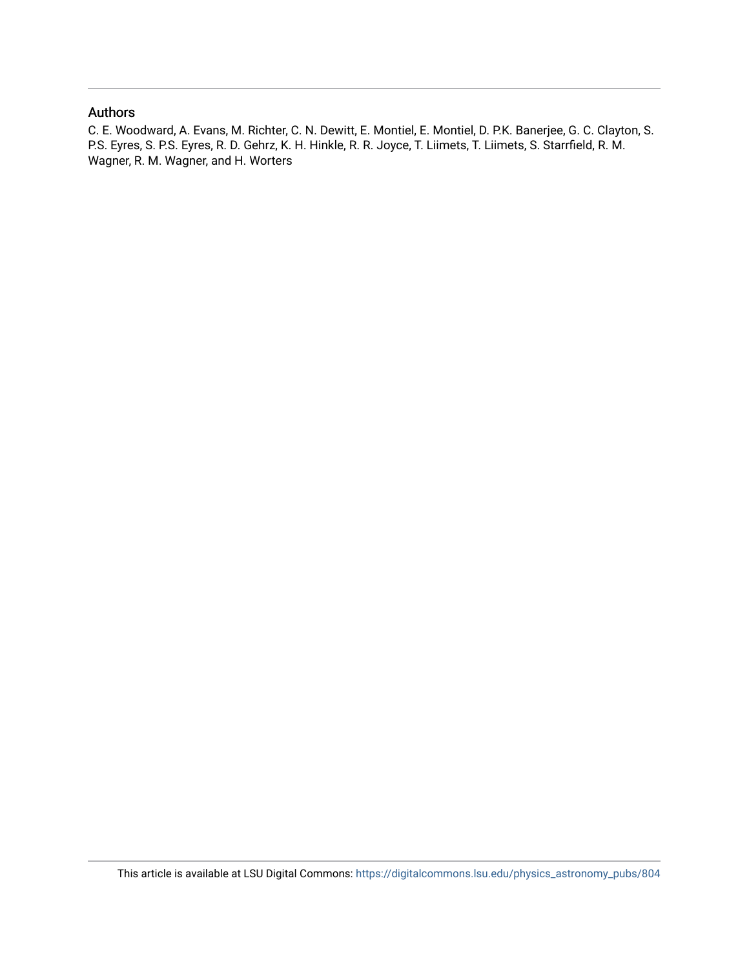# Authors

C. E. Woodward, A. Evans, M. Richter, C. N. Dewitt, E. Montiel, E. Montiel, D. P.K. Banerjee, G. C. Clayton, S. P.S. Eyres, S. P.S. Eyres, R. D. Gehrz, K. H. Hinkle, R. R. Joyce, T. Liimets, T. Liimets, S. Starrfield, R. M. Wagner, R. M. Wagner, and H. Worters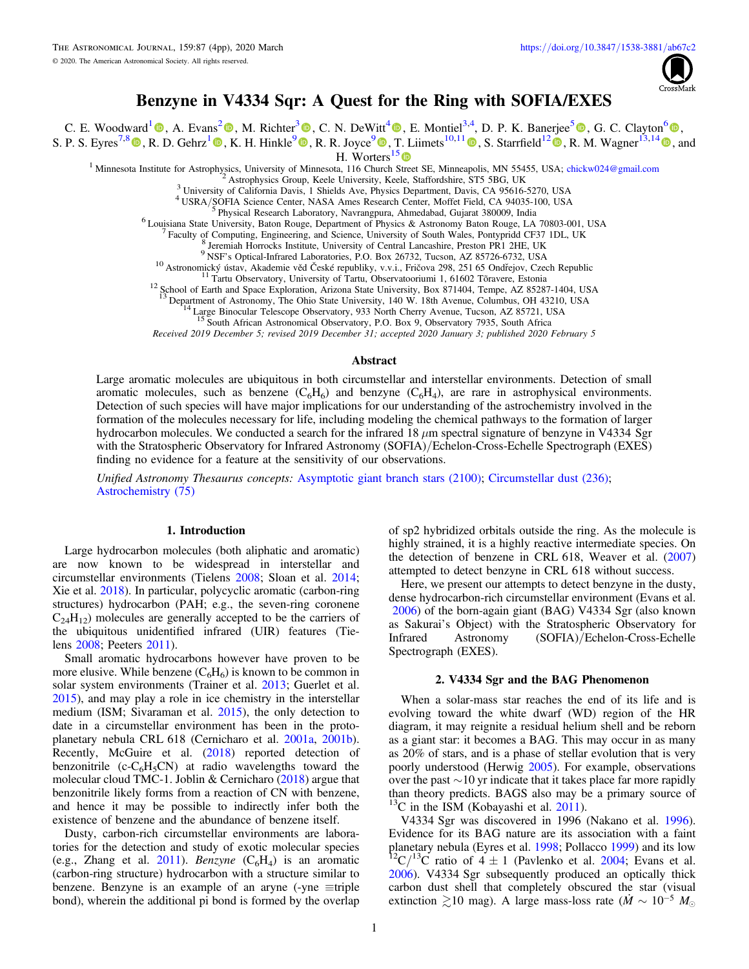

# Benzyne in V4334 Sqr: A Quest for the Ring with SOFIA/EXES

C. E. Woodward<sup>1</sup> (0, A. Evans<sup>2</sup> (0, M. Richter<sup>3</sup> (0, C. N. DeWitt<sup>4</sup> (0, E. Montiel<sup>3,4</sup>, D. P. K. Banerjee<sup>5</sup> (0, G. C. Clayton<sup>6</sup> (0,

S. P. S. Eyres<sup>7,8</sup> (b, R. D. Gehrz<sup>1</sup> (b, K. H. Hinkle<sup>9</sup> (b, R. R. Joyce<sup>9</sup> (b, T. Liimets<sup>10,11</sup> (b, S. Starrfield<sup>12</sup> (b, R. M. Wagner<sup>13,14</sup> (b), and

H. Worters<sup>15</sup><sup>O</sup>

<sup>1</sup> Minnesota Institute for Astrophysics, University of Minnesota, 116 Church Street SE, Minneapolis, MN 55455, USA; chickw024@gmail.com

Astrophysics Group, Keele University, Keele, Staffordshire, ST5 5BG, UK

<sup>3</sup> University of California Davis, 1 Shields Ave, Physics Department, Davis, CA 95616-5270, USA

<sup>4</sup> USRA/SOFIA Science Center, NASA Ames Research Center, Moffet Field, CA 94035-100, USA

Physical Research Laboratory, Navrangpura, Ahmedabad, Gujarat 380009, India

 $^6$  Louisiana State University, Baton Rouge, Department of Physics & Astronomy Baton Rouge, LA 70803-001, USA

Faculty of Computing, Engineering, and Science, University of South Wales, Pontypridd CF37 1DL, UK

Jeremiah Horrocks Institute, University of Central Lancashire, Preston PR1 2HE, UK

<sup>9</sup>NSF's Optical-Infrared Laboratories, P.O. Box 26732, Tucson, AZ 85726-6732, USA

<sup>10</sup> Astronomický ústav, Akademie věd České republiky, v.v.i., Fričova 298, 251 65 Ondřejov, Czech Republic

12 School of Earth and Space Exploration, Arizonal State University, Box 871404, Tempe, AZ 85287-1404, USA<br><sup>13</sup> Department of Astronomy The Obio State University 140 W 18th Ayenue Columbus OH 43210 USA

Department of Astronomy, The Ohio State University, 140 W. 18th Avenue, Columbus, OH 43210, USA

Large Binocular Telescope Observatory, 933 North Cherry Avenue, Tucson, AZ 85721, USA South African Astronomical Observatory, P.O. Box 9, Observatory 7935, South Africa

Received 2019 December 5; revised 2019 December 31; accepted 2020 January 3; published 2020 February 5

#### Abstract

Large aromatic molecules are ubiquitous in both circumstellar and interstellar environments. Detection of small aromatic molecules, such as benzene  $(C_6H_6)$  and benzyne  $(C_6H_4)$ , are rare in astrophysical environments. Detection of such species will have major implications for our understanding of the astrochemistry involved in the formation of the molecules necessary for life, including modeling the chemical pathways to the formation of larger hydrocarbon molecules. We conducted a search for the infrared 18  $\mu$ m spectral signature of benzyne in V4334 Sgr with the Stratospheric Observatory for Infrared Astronomy (SOFIA)/Echelon-Cross-Echelle Spectrograph (EXES) finding no evidence for a feature at the sensitivity of our observations.

Unified Astronomy Thesaurus concepts: Asymptotic giant branch stars (2100); Circumstellar dust (236); Astrochemistry (75)

## 1. Introduction

Large hydrocarbon molecules (both aliphatic and aromatic) are now known to be widespread in interstellar and circumstellar environments (Tielens 2008; Sloan et al. 2014; Xie et al. 2018). In particular, polycyclic aromatic (carbon-ring structures) hydrocarbon (PAH; e.g., the seven-ring coronene  $C_{24}H_{12}$ ) molecules are generally accepted to be the carriers of the ubiquitous unidentified infrared (UIR) features (Tielens 2008; Peeters 2011).

Small aromatic hydrocarbons however have proven to be more elusive. While benzene  $(C_6H_6)$  is known to be common in solar system environments (Trainer et al. 2013; Guerlet et al.  $2015$ ), and may play a role in ice chemistry in the interstellar medium (ISM; Sivaraman et al. 2015), the only detection to date in a circumstellar environment has been in the protoplanetary nebula CRL 618 (Cernicharo et al. 2001a, 2001b). Recently, McGuire et al. (2018) reported detection of benzonitrile (c- $C_6H_5CN$ ) at radio wavelengths toward the molecular cloud TMC-1. Joblin & Cernicharo  $(2018)$  argue that benzonitrile likely forms from a reaction of CN with benzene, and hence it may be possible to indirectly infer both the existence of benzene and the abundance of benzene itself.

Dusty, carbon-rich circumstellar environments are laboratories for the detection and study of exotic molecular species (e.g., Zhang et al. 2011). Benzyne  $(C_6H_4)$  is an aromatic (carbon-ring structure) hydrocarbon with a structure similar to benzene. Benzyne is an example of an aryne (-yne  $\equiv$ triple bond), wherein the additional pi bond is formed by the overlap

of sp2 hybridized orbitals outside the ring. As the molecule is highly strained, it is a highly reactive intermediate species. On the detection of benzene in CRL 618, Weaver et al. (2007) attempted to detect benzyne in CRL 618 without success.

Here, we present our attempts to detect benzyne in the dusty, dense hydrocarbon-rich circumstellar environment (Evans et al. 2006) of the born-again giant (BAG) V4334 Sgr (also known as Sakurai's Object) with the Stratospheric Observatory for Astronomy (SOFIA)/Echelon-Cross-Echelle Infrared Spectrograph (EXES).

## 2. V4334 Sgr and the BAG Phenomenon

When a solar-mass star reaches the end of its life and is evolving toward the white dwarf (WD) region of the HR diagram, it may reignite a residual helium shell and be reborn as a giant star: it becomes a BAG. This may occur in as many as 20% of stars, and is a phase of stellar evolution that is very poorly understood (Herwig 2005). For example, observations over the past  $\sim$ 10 yr indicate that it takes place far more rapidly than theory predicts. BAGS also may be a primary source of  $13^{\circ}$ C in the ISM (Kobayashi et al. 2011).

V4334 Sgr was discovered in 1996 (Nakano et al. 1996). Evidence for its BAG nature are its association with a faint planetary nebula (Eyres et al. 1998; Pollacco 1999) and its low <sup>2</sup>C/<sup>13</sup>C ratio of  $4 \pm 1$  (Pavlenko et al. 2004; Evans et al. 2006). V4334 Sgr subsequently produced an optically thick carbon dust shell that completely obscured the star (visual extinction  $\geq 10$  mag). A large mass-loss rate ( $\dot{M} \sim 10^{-5}$  M<sub>o</sub>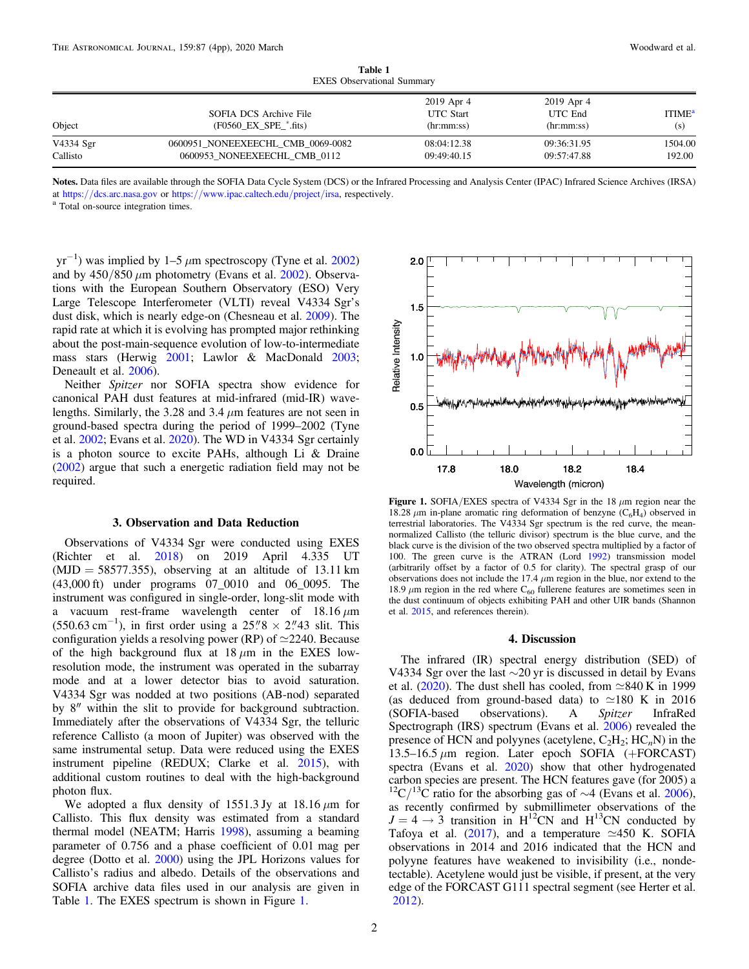<span id="page-3-0"></span>

| <b>EXES</b> Observational Summary |                                                                   |                                              |                                     |                                  |
|-----------------------------------|-------------------------------------------------------------------|----------------------------------------------|-------------------------------------|----------------------------------|
| Object                            | SOFIA DCS Archive File<br>$(F0560$ $EX$ $SPE$ <sup>*</sup> .fits) | 2019 Apr 4<br><b>UTC</b> Start<br>(hr:mm:ss) | 2019 Apr 4<br>UTC End<br>(hr:mm:ss) | <b>ITIME</b> <sup>a</sup><br>(s) |
| V4334 Sgr<br>Callisto             | 0600951 NONEEXEECHL CMB 0069-0082<br>0600953 NONEEXEECHL CMB 0112 | 08:04:12.38<br>09:49:40.15                   | 09:36:31.95<br>09:57:47.88          | 1504.00<br>192.00                |

Table 1 EXES Observational Summary

Notes. Data files are available through the SOFIA Data Cycle System (DCS) or the Infrared Processing and Analysis Center (IPAC) Infrared Science Archives (IRSA) at https://[dcs.arc.nasa.gov](https://dcs.arc.nasa.gov) or https://[www.ipac.caltech.edu](https://www.ipac.caltech.edu/project/irsa)/project/irsa, respectively.  $^{\rm a}$  Total on-source integration times.

 $yr^{-1}$ ) was implied by 1–5  $\mu$ m spectroscopy (Tyne et al. [2002](#page-5-0)) and by  $450/850 \mu m$  photometry (Evans et al. [2002](#page-5-0)). Observations with the European Southern Observatory (ESO) Very Large Telescope Interferometer (VLTI) reveal V4334 Sgr's dust disk, which is nearly edge-on (Chesneau et al. [2009](#page-4-0)). The rapid rate at which it is evolving has prompted major rethinking about the post-main-sequence evolution of low-to-intermediate mass stars (Herwig [2001;](#page-5-0) Lawlor & MacDonald [2003](#page-5-0); Deneault et al. [2006](#page-5-0)).

Neither Spitzer nor SOFIA spectra show evidence for canonical PAH dust features at mid-infrared (mid-IR) wavelengths. Similarly, the 3.28 and 3.4 μm features are not seen in ground-based spectra during the period of 1999–2002 (Tyne et al. [2002](#page-5-0); Evans et al. [2020](#page-5-0)). The WD in V4334 Sgr certainly is a photon source to excite PAHs, although Li & Draine ([2002](#page-5-0)) argue that such a energetic radiation field may not be required.

#### 3. Observation and Data Reduction

Observations of V4334 Sgr were conducted using EXES (Richter et al. [2018](#page-5-0)) on 2019 April 4.335 UT  $(MJD = 58577.355)$ , observing at an altitude of 13.11 km (43,000 ft) under programs 07\_0010 and 06\_0095. The instrument was configured in single-order, long-slit mode with a vacuum rest-frame wavelength center of  $18.16 \,\mu m$  $(550.63 \text{ cm}^{-1})$ , in first order using a 25."8 × 2."43 slit. This configuration yields a resolving power (RP) of  $\simeq$ 2240. Because of the high background flux at  $18 \mu m$  in the EXES lowresolution mode, the instrument was operated in the subarray mode and at a lower detector bias to avoid saturation. V4334 Sgr was nodded at two positions (AB-nod) separated by 8″ within the slit to provide for background subtraction. Immediately after the observations of V4334 Sgr, the telluric reference Callisto (a moon of Jupiter) was observed with the same instrumental setup. Data were reduced using the EXES instrument pipeline (REDUX; Clarke et al. [2015](#page-4-0)), with additional custom routines to deal with the high-background photon flux.

We adopted a flux density of 1551.3 Jy at 18.16  $\mu$ m for Callisto. This flux density was estimated from a standard thermal model (NEATM; Harris [1998](#page-5-0)), assuming a beaming parameter of 0.756 and a phase coefficient of 0.01 mag per degree (Dotto et al. [2000](#page-5-0)) using the JPL Horizons values for Callisto's radius and albedo. Details of the observations and SOFIA archive data files used in our analysis are given in Table 1. The EXES spectrum is shown in Figure 1.



Figure 1. SOFIA/EXES spectra of V4334 Sgr in the 18  $\mu$ m region near the 18.28  $\mu$ m in-plane aromatic ring deformation of benzyne (C<sub>6</sub>H<sub>4</sub>) observed in terrestrial laboratories. The V4334 Sgr spectrum is the red curve, the meannormalized Callisto (the telluric divisor) spectrum is the blue curve, and the black curve is the division of the two observed spectra multiplied by a factor of 100. The green curve is the ATRAN (Lord [1992](#page-5-0)) transmission model (arbitrarily offset by a factor of 0.5 for clarity). The spectral grasp of our observations does not include the 17.4  $\mu$ m region in the blue, nor extend to the 18.9  $\mu$ m region in the red where C<sub>60</sub> fullerene features are sometimes seen in the dust continuum of objects exhibiting PAH and other UIR bands (Shannon et al. [2015](#page-5-0), and references therein).

## 4. Discussion

The infrared (IR) spectral energy distribution (SED) of V4334 Sgr over the last ∼20 yr is discussed in detail by Evans et al. ([2020](#page-5-0)). The dust shell has cooled, from  $\simeq 840$  K in 1999 (as deduced from ground-based data) to  $\simeq$ 180 K in 2016 (SOFIA-based observations). A Spitzer InfraRed Spectrograph (IRS) spectrum (Evans et al. [2006](#page-5-0)) revealed the presence of HCN and polyynes (acetylene,  $C_2H_2$ ;  $HC_nN$ ) in the 13.5–16.5  $\mu$ m region. Later epoch SOFIA (+FORCAST) spectra (Evans et al. [2020](#page-5-0)) show that other hydrogenated carbon species are present. The HCN features gave (for 2005) a <sup>12</sup>C/<sup>13</sup>C ratio for the absorbing gas of ∼4 (Evans et al. [2006](#page-5-0)), as recently confirmed by submillimeter observations of the  $J = 4 \rightarrow 3$  transition in  $H^{12}CN$  and  $H^{13}CN$  conducted by Tafoya et al. ([2017](#page-5-0)), and a temperature  $\simeq$ 450 K. SOFIA observations in 2014 and 2016 indicated that the HCN and polyyne features have weakened to invisibility (i.e., nondetectable). Acetylene would just be visible, if present, at the very edge of the FORCAST G111 spectral segment (see Herter et al. [2012](#page-5-0)).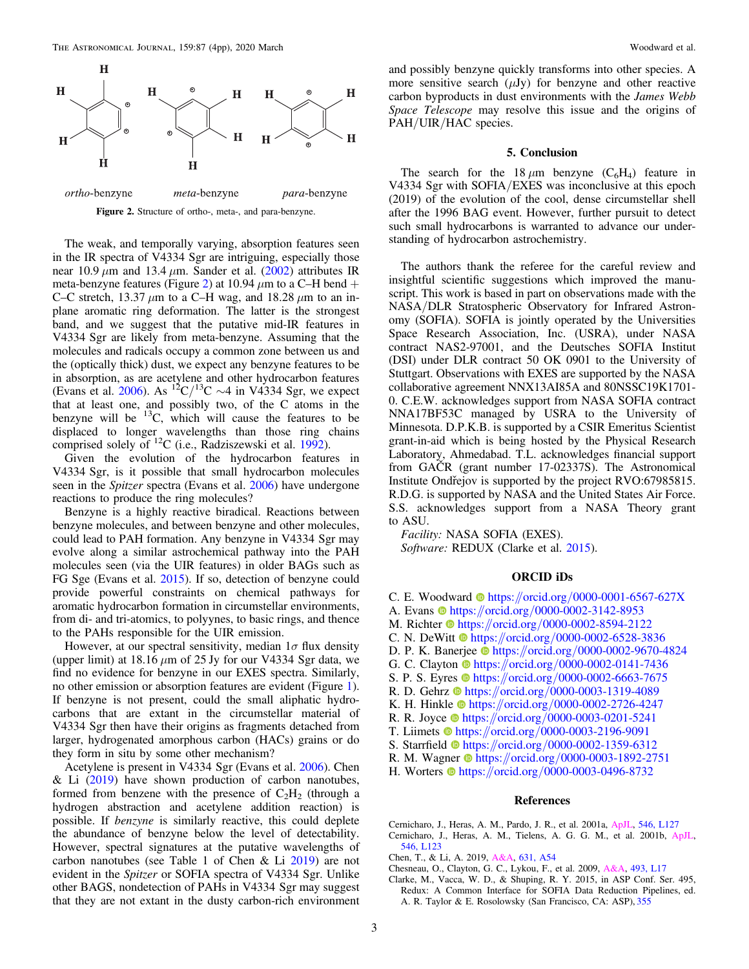<span id="page-4-0"></span>

Figure 2. Structure of ortho-, meta-, and para-benzyne.

The weak, and temporally varying, absorption features seen in the IR spectra of V4334 Sgr are intriguing, especially those near 10.9  $\mu$ m and 13.4  $\mu$ m. Sander et al. ([2002](#page-5-0)) attributes IR meta-benzyne features (Figure 2) at 10.94  $\mu$ m to a C–H bend + C–C stretch, 13.37  $\mu$ m to a C–H wag, and 18.28  $\mu$ m to an inplane aromatic ring deformation. The latter is the strongest band, and we suggest that the putative mid-IR features in V4334 Sgr are likely from meta-benzyne. Assuming that the molecules and radicals occupy a common zone between us and the (optically thick) dust, we expect any benzyne features to be in absorption, as are acetylene and other hydrocarbon features (Evans et al. [2006](#page-5-0)). As <sup>12</sup>C/<sup>13</sup>C  $\sim$ 4 in V4334 Sgr, we expect that at least one, and possibly two, of the C atoms in the benzyne will be  $^{13}C$ , which will cause the features to be displaced to longer wavelengths than those ring chains comprised solely of  ${}^{12}C$  (i.e., Radziszewski et al. [1992](#page-5-0)).

Given the evolution of the hydrocarbon features in V4334 Sgr, is it possible that small hydrocarbon molecules seen in the *Spitzer* spectra (Evans et al. [2006](#page-5-0)) have undergone reactions to produce the ring molecules?

Benzyne is a highly reactive biradical. Reactions between benzyne molecules, and between benzyne and other molecules, could lead to PAH formation. Any benzyne in V4334 Sgr may evolve along a similar astrochemical pathway into the PAH molecules seen (via the UIR features) in older BAGs such as FG Sge (Evans et al. [2015](#page-5-0)). If so, detection of benzyne could provide powerful constraints on chemical pathways for aromatic hydrocarbon formation in circumstellar environments, from di- and tri-atomics, to polyynes, to basic rings, and thence to the PAHs responsible for the UIR emission.

However, at our spectral sensitivity, median  $1\sigma$  flux density (upper limit) at 18.16  $\mu$ m of 25 Jy for our V4334 Sgr data, we find no evidence for benzyne in our EXES spectra. Similarly, no other emission or absorption features are evident (Figure [1](#page-3-0)). If benzyne is not present, could the small aliphatic hydrocarbons that are extant in the circumstellar material of V4334 Sgr then have their origins as fragments detached from larger, hydrogenated amorphous carbon (HACs) grains or do they form in situ by some other mechanism?

Acetylene is present in V4334 Sgr (Evans et al. [2006](#page-5-0)). Chen  $& Li (2019)$  have shown production of carbon nanotubes, formed from benzene with the presence of  $C_2H_2$  (through a hydrogen abstraction and acetylene addition reaction) is possible. If benzyne is similarly reactive, this could deplete the abundance of benzyne below the level of detectability. However, spectral signatures at the putative wavelengths of carbon nanotubes (see Table 1 of Chen & Li 2019) are not evident in the Spitzer or SOFIA spectra of V4334 Sgr. Unlike other BAGS, nondetection of PAHs in V4334 Sgr may suggest that they are not extant in the dusty carbon-rich environment

and possibly benzyne quickly transforms into other species. A more sensitive search  $(\mu Jy)$  for benzyne and other reactive carbon byproducts in dust environments with the James Webb Space Telescope may resolve this issue and the origins of PAH/UIR/HAC species.

#### 5. Conclusion

The search for the 18  $\mu$ m benzyne (C<sub>6</sub>H<sub>4</sub>) feature in V4334 Sgr with SOFIA/EXES was inconclusive at this epoch (2019) of the evolution of the cool, dense circumstellar shell after the 1996 BAG event. However, further pursuit to detect such small hydrocarbons is warranted to advance our understanding of hydrocarbon astrochemistry.

The authors thank the referee for the careful review and insightful scientific suggestions which improved the manuscript. This work is based in part on observations made with the NASA/DLR Stratospheric Observatory for Infrared Astronomy (SOFIA). SOFIA is jointly operated by the Universities Space Research Association, Inc. (USRA), under NASA contract NAS2-97001, and the Deutsches SOFIA Institut (DSI) under DLR contract 50 OK 0901 to the University of Stuttgart. Observations with EXES are supported by the NASA collaborative agreement NNX13AI85A and 80NSSC19K1701- 0. C.E.W. acknowledges support from NASA SOFIA contract NNA17BF53C managed by USRA to the University of Minnesota. D.P.K.B. is supported by a CSIR Emeritus Scientist grant-in-aid which is being hosted by the Physical Research Laboratory, Ahmedabad. T.L. acknowledges financial support from GAČR (grant number 17-02337S). The Astronomical Institute Ondrejov is supported by the project RVO:67985815. R.D.G. is supported by NASA and the United States Air Force. S.S. acknowledges support from a NASA Theory grant to ASU.

Facility: NASA SOFIA (EXES). Software: REDUX (Clarke et al. 2015).

#### ORCID iDs

- C. E. Woo[d](https://orcid.org/0000-0001-6567-627X)ward  $\bullet$  [https:](https://orcid.org/0000-0001-6567-627X)//orcid.org/[0000-0001-6567-627X](https://orcid.org/0000-0001-6567-627X)
- A. Evan[s](https://orcid.org/0000-0002-3142-8953) the [https:](https://orcid.org/0000-0002-3142-8953)//orcid.org/[0000-0002-3142-8953](https://orcid.org/0000-0002-3142-8953)
- M. Richter [https:](https://orcid.org/0000-0002-8594-2122)//orcid.org/[0000-0002-8594-2122](https://orcid.org/0000-0002-8594-2122)
- C. N. DeWi[t](https://orcid.org/0000-0002-6528-3836)t [https:](https://orcid.org/0000-0002-6528-3836)//orcid.org/[0000-0002-6528-3836](https://orcid.org/0000-0002-6528-3836)
- D. P. K. Banerje[e](https://orcid.org/0000-0002-9670-4824) [https:](https://orcid.org/0000-0002-9670-4824)//orcid.org/[0000-0002-9670-4824](https://orcid.org/0000-0002-9670-4824)
- G. C. Clayton  $\Phi$  [https:](https://orcid.org/0000-0002-0141-7436)//orcid.org/[0000-0002-0141-7436](https://orcid.org/0000-0002-0141-7436)
- S. P. S. Eyre[s](https://orcid.org/0000-0002-6663-7675)  $\bullet$  [https:](https://orcid.org/0000-0002-6663-7675)//orcid.org/[0000-0002-6663-7675](https://orcid.org/0000-0002-6663-7675)
- R. D. Gehr[z](https://orcid.org/0000-0003-1319-4089) [https:](https://orcid.org/0000-0003-1319-4089)//orcid.org/[0000-0003-1319-4089](https://orcid.org/0000-0003-1319-4089)
- K. H. Hinkle the [https:](https://orcid.org/0000-0002-2726-4247)//orcid.org/[0000-0002-2726-4247](https://orcid.org/0000-0002-2726-4247)
- R. R. Joyc[e](https://orcid.org/0000-0003-0201-5241) [https:](https://orcid.org/0000-0003-0201-5241)//orcid.org/[0000-0003-0201-5241](https://orcid.org/0000-0003-0201-5241)
- T. Liimets  $\bullet$  [https:](https://orcid.org/0000-0003-2196-9091)//orcid.org/[0000-0003-2196-9091](https://orcid.org/0000-0003-2196-9091)
- S. Starrfield **the [https:](https://orcid.org/0000-0002-1359-6312)//orcid.org/[0000-0002-1359-6312](https://orcid.org/0000-0002-1359-6312)**
- R. M. Wagne[r](https://orcid.org/0000-0003-1892-2751)  $\Phi$  [https:](https://orcid.org/0000-0003-1892-2751)//orcid.org/[0000-0003-1892-2751](https://orcid.org/0000-0003-1892-2751)
- H. Worters  $\bullet$  [https:](https://orcid.org/0000-0003-0496-8732)//orcid.org/[0000-0003-0496-8732](https://orcid.org/0000-0003-0496-8732)

#### References

- Cernicharo, J., Heras, A. M., Pardo, J. R., et al. 2001a, [ApJL](https://doi.org/10.1086/318872), [546, L127](https://ui.adsabs.harvard.edu/abs/2001ApJ...546L.127C/abstract) Cernicharo, J., Heras, A. M., Tielens, A. G. G. M., et al. 2001b, [ApJL](https://doi.org/10.1086/318871)[,](https://ui.adsabs.harvard.edu/abs/2001ApJ...546L.123C/abstract) [546, L123](https://ui.adsabs.harvard.edu/abs/2001ApJ...546L.123C/abstract)
- Chen, T., & Li, A. 2019, [A&A,](https://doi.org/10.1051/0004-6361/201935789) [631, A54](https://ui.adsabs.harvard.edu/abs/2019A&A...631A..54C/abstract)
- Chesneau, O., Clayton, G. C., Lykou, F., et al. 2009, [A&A](https://doi.org/10.1051/0004-6361:200811173), [493, L17](https://ui.adsabs.harvard.edu/abs/2009A&A...493L..17C/abstract)
- Clarke, M., Vacca, W. D., & Shuping, R. Y. 2015, in ASP Conf. Ser. 495, Redux: A Common Interface for SOFIA Data Reduction Pipelines, ed. A. R. Taylor & E. Rosolowsky (San Francisco, CA: ASP), [355](https://ui.adsabs.harvard.edu/abs/2015ASPC..495..355C/abstract)